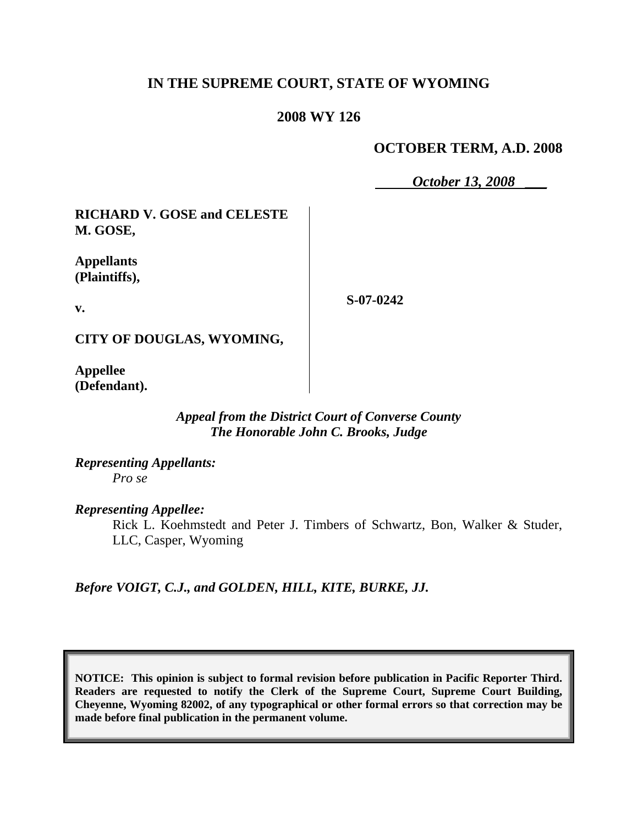# **IN THE SUPREME COURT, STATE OF WYOMING**

### **2008 WY 126**

## **OCTOBER TERM, A.D. 2008**

*October 13, 2008* \_\_\_

**RICHARD V. GOSE and CELESTE M. GOSE,**

**Appellants (Plaintiffs),**

**v.**

**S-07-0242**

**CITY OF DOUGLAS, WYOMING,**

**Appellee (Defendant).**

> *Appeal from the District Court of Converse County The Honorable John C. Brooks, Judge*

*Representing Appellants: Pro se*

*Representing Appellee:*

Rick L. Koehmstedt and Peter J. Timbers of Schwartz, Bon, Walker & Studer, LLC, Casper, Wyoming

*Before VOIGT, C.J., and GOLDEN, HILL, KITE, BURKE, JJ.*

**NOTICE: This opinion is subject to formal revision before publication in Pacific Reporter Third. Readers are requested to notify the Clerk of the Supreme Court, Supreme Court Building, Cheyenne, Wyoming 82002, of any typographical or other formal errors so that correction may be made before final publication in the permanent volume.**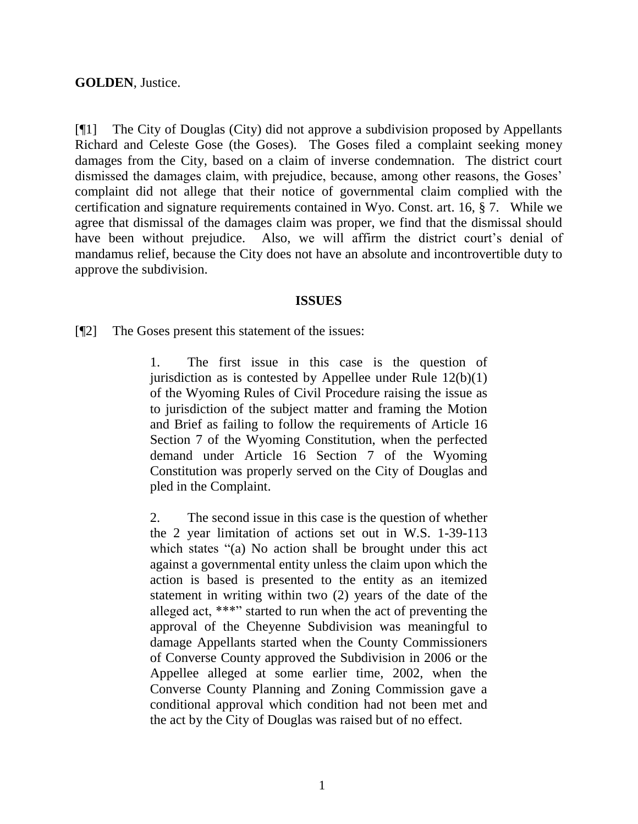### **GOLDEN**, Justice.

[¶1] The City of Douglas (City) did not approve a subdivision proposed by Appellants Richard and Celeste Gose (the Goses). The Goses filed a complaint seeking money damages from the City, based on a claim of inverse condemnation. The district court dismissed the damages claim, with prejudice, because, among other reasons, the Goses' complaint did not allege that their notice of governmental claim complied with the certification and signature requirements contained in Wyo. Const. art. 16, § 7. While we agree that dismissal of the damages claim was proper, we find that the dismissal should have been without prejudice. Also, we will affirm the district court's denial of mandamus relief, because the City does not have an absolute and incontrovertible duty to approve the subdivision.

#### **ISSUES**

[¶2] The Goses present this statement of the issues:

1. The first issue in this case is the question of jurisdiction as is contested by Appellee under Rule  $12(b)(1)$ of the Wyoming Rules of Civil Procedure raising the issue as to jurisdiction of the subject matter and framing the Motion and Brief as failing to follow the requirements of Article 16 Section 7 of the Wyoming Constitution, when the perfected demand under Article 16 Section 7 of the Wyoming Constitution was properly served on the City of Douglas and pled in the Complaint.

2. The second issue in this case is the question of whether the 2 year limitation of actions set out in W.S. 1-39-113 which states "(a) No action shall be brought under this act against a governmental entity unless the claim upon which the action is based is presented to the entity as an itemized statement in writing within two (2) years of the date of the alleged act, \*\*\*" started to run when the act of preventing the approval of the Cheyenne Subdivision was meaningful to damage Appellants started when the County Commissioners of Converse County approved the Subdivision in 2006 or the Appellee alleged at some earlier time, 2002, when the Converse County Planning and Zoning Commission gave a conditional approval which condition had not been met and the act by the City of Douglas was raised but of no effect.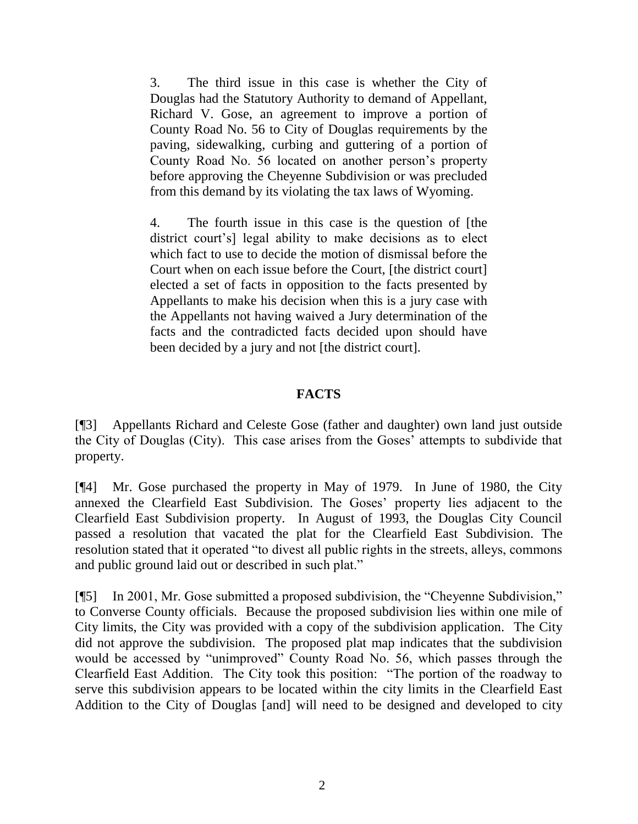3. The third issue in this case is whether the City of Douglas had the Statutory Authority to demand of Appellant, Richard V. Gose, an agreement to improve a portion of County Road No. 56 to City of Douglas requirements by the paving, sidewalking, curbing and guttering of a portion of County Road No. 56 located on another person"s property before approving the Cheyenne Subdivision or was precluded from this demand by its violating the tax laws of Wyoming.

4. The fourth issue in this case is the question of [the district court's] legal ability to make decisions as to elect which fact to use to decide the motion of dismissal before the Court when on each issue before the Court, [the district court] elected a set of facts in opposition to the facts presented by Appellants to make his decision when this is a jury case with the Appellants not having waived a Jury determination of the facts and the contradicted facts decided upon should have been decided by a jury and not [the district court].

# **FACTS**

[¶3] Appellants Richard and Celeste Gose (father and daughter) own land just outside the City of Douglas (City). This case arises from the Goses" attempts to subdivide that property.

[¶4] Mr. Gose purchased the property in May of 1979. In June of 1980, the City annexed the Clearfield East Subdivision. The Goses' property lies adjacent to the Clearfield East Subdivision property. In August of 1993, the Douglas City Council passed a resolution that vacated the plat for the Clearfield East Subdivision. The resolution stated that it operated "to divest all public rights in the streets, alleys, commons and public ground laid out or described in such plat."

[¶5] In 2001, Mr. Gose submitted a proposed subdivision, the "Cheyenne Subdivision," to Converse County officials. Because the proposed subdivision lies within one mile of City limits, the City was provided with a copy of the subdivision application. The City did not approve the subdivision. The proposed plat map indicates that the subdivision would be accessed by "unimproved" County Road No. 56, which passes through the Clearfield East Addition. The City took this position: "The portion of the roadway to serve this subdivision appears to be located within the city limits in the Clearfield East Addition to the City of Douglas [and] will need to be designed and developed to city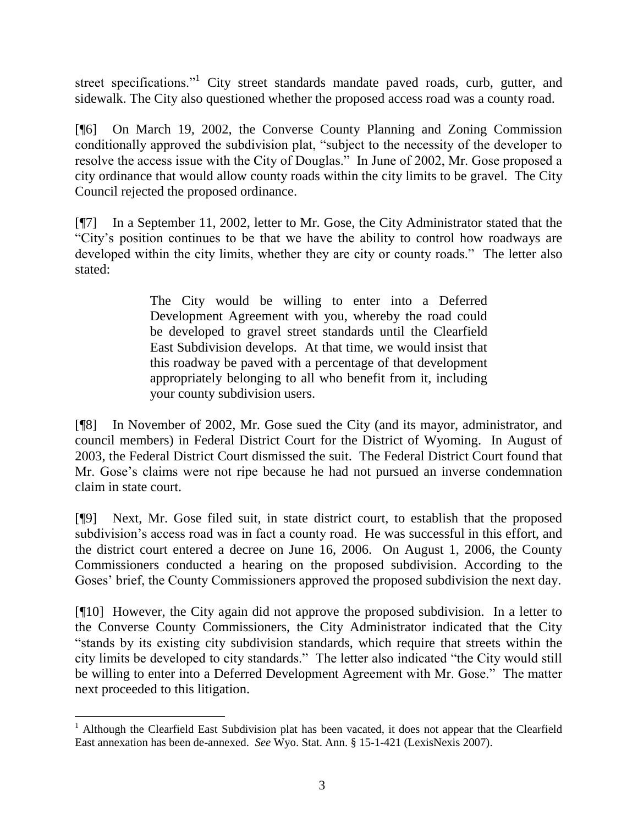street specifications."<sup>1</sup> City street standards mandate paved roads, curb, gutter, and sidewalk. The City also questioned whether the proposed access road was a county road.

[¶6] On March 19, 2002, the Converse County Planning and Zoning Commission conditionally approved the subdivision plat, "subject to the necessity of the developer to resolve the access issue with the City of Douglas." In June of 2002, Mr. Gose proposed a city ordinance that would allow county roads within the city limits to be gravel. The City Council rejected the proposed ordinance.

[¶7] In a September 11, 2002, letter to Mr. Gose, the City Administrator stated that the "City"s position continues to be that we have the ability to control how roadways are developed within the city limits, whether they are city or county roads." The letter also stated:

> The City would be willing to enter into a Deferred Development Agreement with you, whereby the road could be developed to gravel street standards until the Clearfield East Subdivision develops. At that time, we would insist that this roadway be paved with a percentage of that development appropriately belonging to all who benefit from it, including your county subdivision users.

[¶8] In November of 2002, Mr. Gose sued the City (and its mayor, administrator, and council members) in Federal District Court for the District of Wyoming. In August of 2003, the Federal District Court dismissed the suit. The Federal District Court found that Mr. Gose"s claims were not ripe because he had not pursued an inverse condemnation claim in state court.

[¶9] Next, Mr. Gose filed suit, in state district court, to establish that the proposed subdivision's access road was in fact a county road. He was successful in this effort, and the district court entered a decree on June 16, 2006. On August 1, 2006, the County Commissioners conducted a hearing on the proposed subdivision. According to the Goses' brief, the County Commissioners approved the proposed subdivision the next day.

[¶10] However, the City again did not approve the proposed subdivision. In a letter to the Converse County Commissioners, the City Administrator indicated that the City "stands by its existing city subdivision standards, which require that streets within the city limits be developed to city standards." The letter also indicated "the City would still be willing to enter into a Deferred Development Agreement with Mr. Gose." The matter next proceeded to this litigation.

l

<sup>&</sup>lt;sup>1</sup> Although the Clearfield East Subdivision plat has been vacated, it does not appear that the Clearfield East annexation has been de-annexed. *See* Wyo. Stat. Ann. § 15-1-421 (LexisNexis 2007).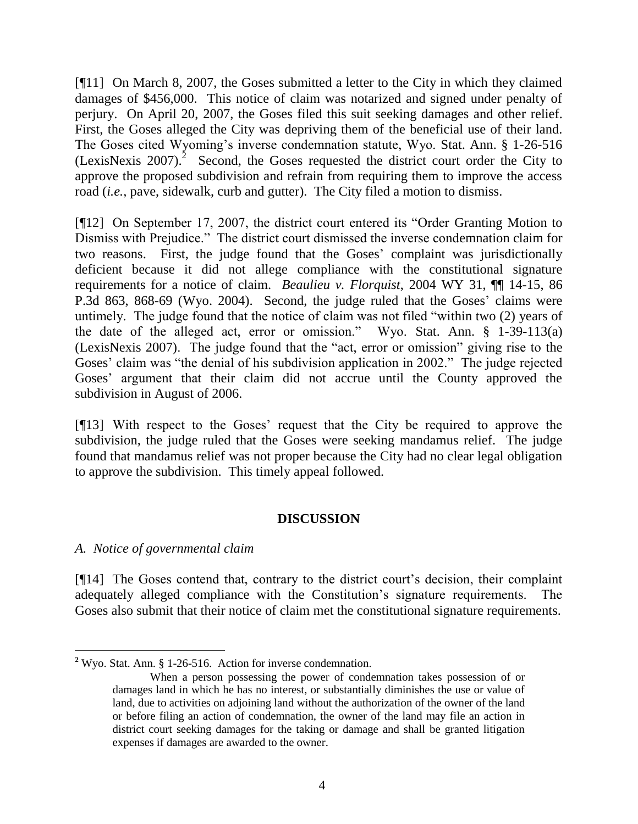[¶11] On March 8, 2007, the Goses submitted a letter to the City in which they claimed damages of \$456,000. This notice of claim was notarized and signed under penalty of perjury. On April 20, 2007, the Goses filed this suit seeking damages and other relief. First, the Goses alleged the City was depriving them of the beneficial use of their land. The Goses cited Wyoming's inverse condemnation statute, Wyo. Stat. Ann. § 1-26-516 (LexisNexis 2007).<sup>2</sup> Second, the Goses requested the district court order the City to approve the proposed subdivision and refrain from requiring them to improve the access road (*i.e.*, pave, sidewalk, curb and gutter). The City filed a motion to dismiss.

[¶12] On September 17, 2007, the district court entered its "Order Granting Motion to Dismiss with Prejudice." The district court dismissed the inverse condemnation claim for two reasons. First, the judge found that the Goses' complaint was jurisdictionally deficient because it did not allege compliance with the constitutional signature requirements for a notice of claim. *Beaulieu v. Florquist*, 2004 WY 31, ¶¶ 14-15, 86 P.3d 863, 868-69 (Wyo. 2004). Second, the judge ruled that the Goses' claims were untimely. The judge found that the notice of claim was not filed "within two (2) years of the date of the alleged act, error or omission." Wyo. Stat. Ann. § 1-39-113(a) (LexisNexis 2007). The judge found that the "act, error or omission" giving rise to the Goses' claim was "the denial of his subdivision application in 2002." The judge rejected Goses' argument that their claim did not accrue until the County approved the subdivision in August of 2006.

[¶13] With respect to the Goses" request that the City be required to approve the subdivision, the judge ruled that the Goses were seeking mandamus relief. The judge found that mandamus relief was not proper because the City had no clear legal obligation to approve the subdivision. This timely appeal followed.

# **DISCUSSION**

### *A. Notice of governmental claim*

[¶14] The Goses contend that, contrary to the district court"s decision, their complaint adequately alleged compliance with the Constitution"s signature requirements. The Goses also submit that their notice of claim met the constitutional signature requirements.

 **<sup>2</sup>** Wyo. Stat. Ann. § 1-26-516. Action for inverse condemnation.

When a person possessing the power of condemnation takes possession of or damages land in which he has no interest, or substantially diminishes the use or value of land, due to activities on adjoining land without the authorization of the owner of the land or before filing an action of condemnation, the owner of the land may file an action in district court seeking damages for the taking or damage and shall be granted litigation expenses if damages are awarded to the owner.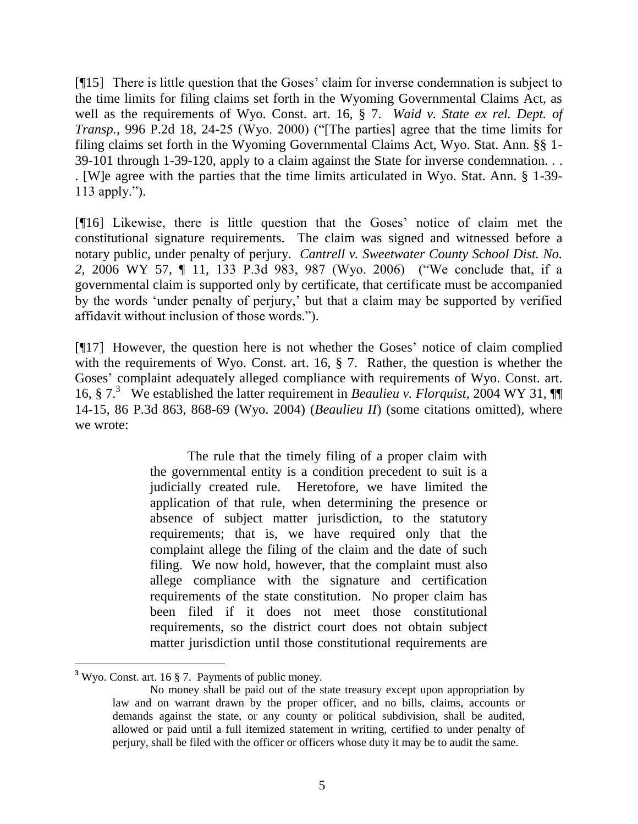[¶15] There is little question that the Goses" claim for inverse condemnation is subject to the time limits for filing claims set forth in the Wyoming Governmental Claims Act, as well as the requirements of Wyo. Const. art. 16, § 7. *Waid v. State ex rel. Dept. of Transp.*, 996 P.2d 18, 24-25 (Wyo. 2000) ("[The parties] agree that the time limits for filing claims set forth in the Wyoming Governmental Claims Act, Wyo. Stat. Ann. §§ 1- 39-101 through 1-39-120, apply to a claim against the State for inverse condemnation. . . . [W]e agree with the parties that the time limits articulated in Wyo. Stat. Ann. § 1-39- 113 apply.").

[¶16] Likewise, there is little question that the Goses" notice of claim met the constitutional signature requirements. The claim was signed and witnessed before a notary public, under penalty of perjury. *Cantrell v. Sweetwater County School Dist. No. 2*, 2006 WY 57, ¶ 11, 133 P.3d 983, 987 (Wyo. 2006) ("We conclude that, if a governmental claim is supported only by certificate, that certificate must be accompanied by the words "under penalty of perjury," but that a claim may be supported by verified affidavit without inclusion of those words.").

[¶17] However, the question here is not whether the Goses" notice of claim complied with the requirements of Wyo. Const. art. 16, § 7. Rather, the question is whether the Goses" complaint adequately alleged compliance with requirements of Wyo. Const. art. 16, § 7.<sup>3</sup> We established the latter requirement in *Beaulieu v. Florquist*, 2004 WY 31, ¶¶ 14-15, 86 P.3d 863, 868-69 (Wyo. 2004) (*Beaulieu II*) (some citations omitted), where we wrote:

> The rule that the timely filing of a proper claim with the governmental entity is a condition precedent to suit is a judicially created rule. Heretofore, we have limited the application of that rule, when determining the presence or absence of subject matter jurisdiction, to the statutory requirements; that is, we have required only that the complaint allege the filing of the claim and the date of such filing. We now hold, however, that the complaint must also allege compliance with the signature and certification requirements of the state constitution. No proper claim has been filed if it does not meet those constitutional requirements, so the district court does not obtain subject matter jurisdiction until those constitutional requirements are

 $\overline{a}$ **<sup>3</sup>** Wyo. Const. art. 16 § 7. Payments of public money.

No money shall be paid out of the state treasury except upon appropriation by law and on warrant drawn by the proper officer, and no bills, claims, accounts or demands against the state, or any county or political subdivision, shall be audited, allowed or paid until a full itemized statement in writing, certified to under penalty of perjury, shall be filed with the officer or officers whose duty it may be to audit the same.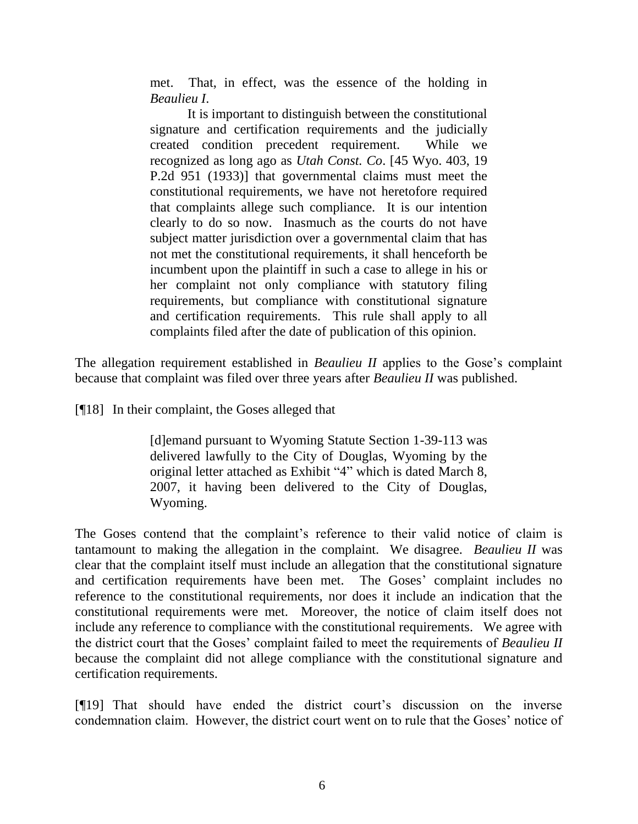met. That, in effect, was the essence of the holding in *Beaulieu I*.

It is important to distinguish between the constitutional signature and certification requirements and the judicially created condition precedent requirement. While we recognized as long ago as *Utah Const. Co*. [45 Wyo. 403, 19 P.2d 951 (1933)] that governmental claims must meet the constitutional requirements, we have not heretofore required that complaints allege such compliance. It is our intention clearly to do so now. Inasmuch as the courts do not have subject matter jurisdiction over a governmental claim that has not met the constitutional requirements, it shall henceforth be incumbent upon the plaintiff in such a case to allege in his or her complaint not only compliance with statutory filing requirements, but compliance with constitutional signature and certification requirements. This rule shall apply to all complaints filed after the date of publication of this opinion.

The allegation requirement established in *Beaulieu II* applies to the Gose's complaint because that complaint was filed over three years after *Beaulieu II* was published.

[¶18] In their complaint, the Goses alleged that

[d]emand pursuant to Wyoming Statute Section 1-39-113 was delivered lawfully to the City of Douglas, Wyoming by the original letter attached as Exhibit "4" which is dated March 8, 2007, it having been delivered to the City of Douglas, Wyoming.

The Goses contend that the complaint's reference to their valid notice of claim is tantamount to making the allegation in the complaint. We disagree. *Beaulieu II* was clear that the complaint itself must include an allegation that the constitutional signature and certification requirements have been met. The Goses' complaint includes no reference to the constitutional requirements, nor does it include an indication that the constitutional requirements were met. Moreover, the notice of claim itself does not include any reference to compliance with the constitutional requirements. We agree with the district court that the Goses" complaint failed to meet the requirements of *Beaulieu II* because the complaint did not allege compliance with the constitutional signature and certification requirements.

[¶19] That should have ended the district court"s discussion on the inverse condemnation claim. However, the district court went on to rule that the Goses' notice of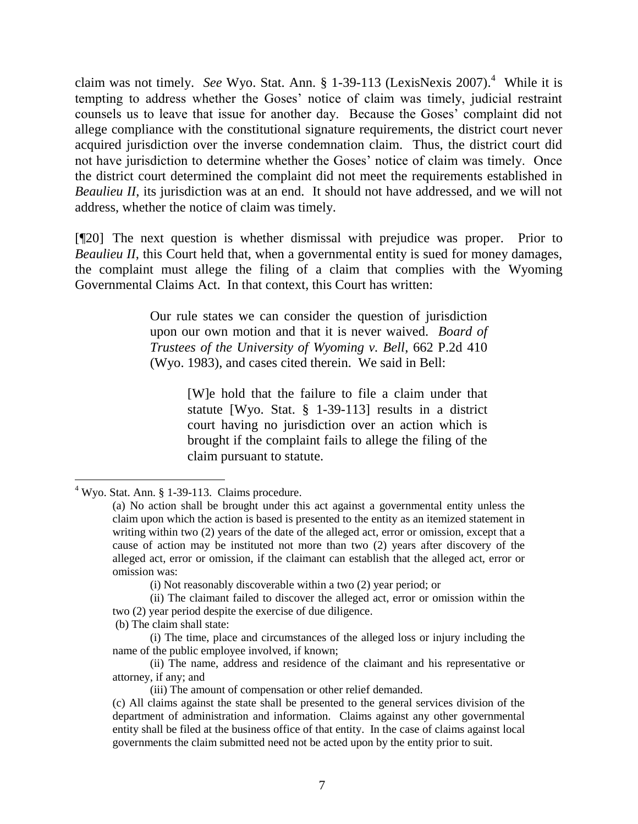claim was not timely. *See* Wyo. Stat. Ann. § 1-39-113 (LexisNexis 2007). 4 While it is tempting to address whether the Goses" notice of claim was timely, judicial restraint counsels us to leave that issue for another day. Because the Goses" complaint did not allege compliance with the constitutional signature requirements, the district court never acquired jurisdiction over the inverse condemnation claim. Thus, the district court did not have jurisdiction to determine whether the Goses' notice of claim was timely. Once the district court determined the complaint did not meet the requirements established in *Beaulieu II*, its jurisdiction was at an end. It should not have addressed, and we will not address, whether the notice of claim was timely.

[¶20] The next question is whether dismissal with prejudice was proper. Prior to *Beaulieu II*, this Court held that, when a governmental entity is sued for money damages, the complaint must allege the filing of a claim that complies with the Wyoming Governmental Claims Act. In that context, this Court has written:

> Our rule states we can consider the question of jurisdiction upon our own motion and that it is never waived. *Board of Trustees of the University of Wyoming v. Bell*, 662 P.2d 410 (Wyo. 1983), and cases cited therein. We said in Bell:

> > [W]e hold that the failure to file a claim under that statute [Wyo. Stat. § 1-39-113] results in a district court having no jurisdiction over an action which is brought if the complaint fails to allege the filing of the claim pursuant to statute.

(b) The claim shall state:

 $4$  Wyo. Stat. Ann. § 1-39-113. Claims procedure.

<sup>(</sup>a) No action shall be brought under this act against a governmental entity unless the claim upon which the action is based is presented to the entity as an itemized statement in writing within two (2) years of the date of the alleged act, error or omission, except that a cause of action may be instituted not more than two (2) years after discovery of the alleged act, error or omission, if the claimant can establish that the alleged act, error or omission was:

<sup>(</sup>i) Not reasonably discoverable within a two (2) year period; or

<sup>(</sup>ii) The claimant failed to discover the alleged act, error or omission within the two (2) year period despite the exercise of due diligence.

<sup>(</sup>i) The time, place and circumstances of the alleged loss or injury including the name of the public employee involved, if known;

<sup>(</sup>ii) The name, address and residence of the claimant and his representative or attorney, if any; and

<sup>(</sup>iii) The amount of compensation or other relief demanded.

<sup>(</sup>c) All claims against the state shall be presented to the general services division of the department of administration and information. Claims against any other governmental entity shall be filed at the business office of that entity. In the case of claims against local governments the claim submitted need not be acted upon by the entity prior to suit.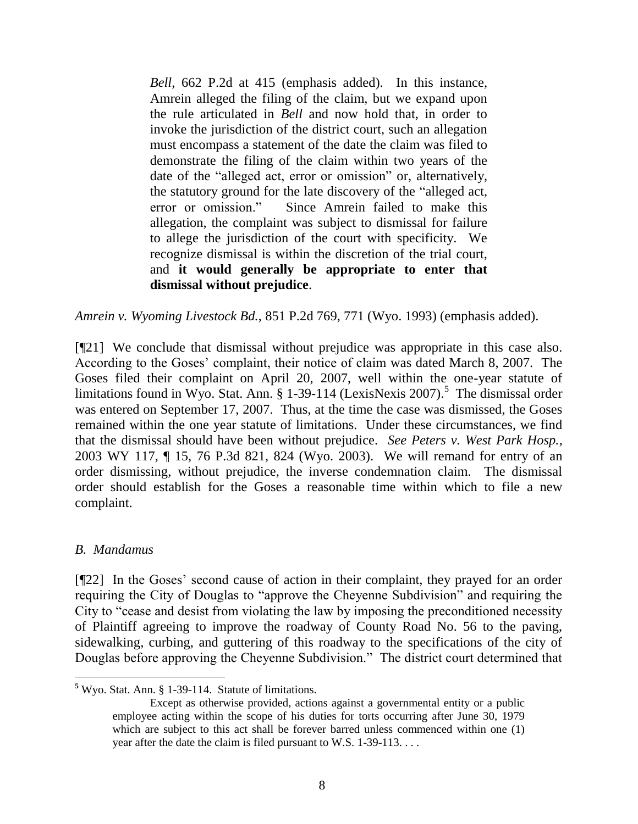*Bell*, 662 P.2d at 415 (emphasis added). In this instance, Amrein alleged the filing of the claim, but we expand upon the rule articulated in *Bell* and now hold that, in order to invoke the jurisdiction of the district court, such an allegation must encompass a statement of the date the claim was filed to demonstrate the filing of the claim within two years of the date of the "alleged act, error or omission" or, alternatively, the statutory ground for the late discovery of the "alleged act, error or omission." Since Amrein failed to make this allegation, the complaint was subject to dismissal for failure to allege the jurisdiction of the court with specificity. We recognize dismissal is within the discretion of the trial court, and **it would generally be appropriate to enter that dismissal without prejudice**.

*Amrein v. Wyoming Livestock Bd.*, 851 P.2d 769, 771 (Wyo. 1993) (emphasis added).

[¶21] We conclude that dismissal without prejudice was appropriate in this case also. According to the Goses" complaint, their notice of claim was dated March 8, 2007. The Goses filed their complaint on April 20, 2007, well within the one-year statute of limitations found in Wyo. Stat. Ann. § 1-39-114 (LexisNexis 2007).<sup>5</sup> The dismissal order was entered on September 17, 2007. Thus, at the time the case was dismissed, the Goses remained within the one year statute of limitations. Under these circumstances, we find that the dismissal should have been without prejudice. *See Peters v. West Park Hosp.*, 2003 WY 117, ¶ 15, 76 P.3d 821, 824 (Wyo. 2003). We will remand for entry of an order dismissing, without prejudice, the inverse condemnation claim. The dismissal order should establish for the Goses a reasonable time within which to file a new complaint.

### *B. Mandamus*

[¶22] In the Goses" second cause of action in their complaint, they prayed for an order requiring the City of Douglas to "approve the Cheyenne Subdivision" and requiring the City to "cease and desist from violating the law by imposing the preconditioned necessity of Plaintiff agreeing to improve the roadway of County Road No. 56 to the paving, sidewalking, curbing, and guttering of this roadway to the specifications of the city of Douglas before approving the Cheyenne Subdivision." The district court determined that

**<sup>5</sup>** Wyo. Stat. Ann. § 1-39-114. Statute of limitations.

Except as otherwise provided, actions against a governmental entity or a public employee acting within the scope of his duties for torts occurring after June 30, 1979 which are subject to this act shall be forever barred unless commenced within one (1) year after the date the claim is filed pursuant to W.S. 1-39-113. . . .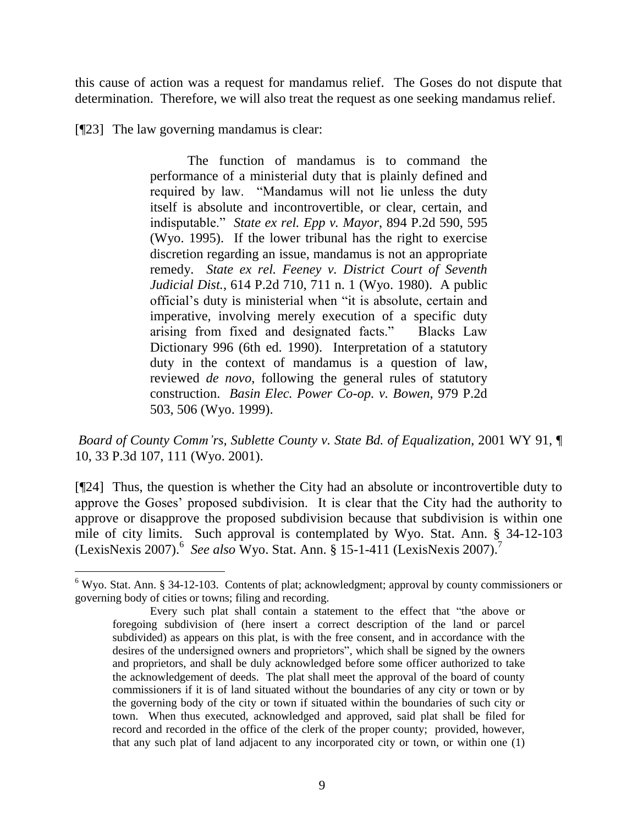this cause of action was a request for mandamus relief. The Goses do not dispute that determination. Therefore, we will also treat the request as one seeking mandamus relief.

[¶23] The law governing mandamus is clear:

l

The function of mandamus is to command the performance of a ministerial duty that is plainly defined and required by law. "Mandamus will not lie unless the duty itself is absolute and incontrovertible, or clear, certain, and indisputable." *State ex rel. Epp v. Mayor*, 894 P.2d 590, 595 (Wyo. 1995). If the lower tribunal has the right to exercise discretion regarding an issue, mandamus is not an appropriate remedy. *State ex rel. Feeney v. District Court of Seventh Judicial Dist.*, 614 P.2d 710, 711 n. 1 (Wyo. 1980). A public official"s duty is ministerial when "it is absolute, certain and imperative, involving merely execution of a specific duty arising from fixed and designated facts." Blacks Law Dictionary 996 (6th ed. 1990). Interpretation of a statutory duty in the context of mandamus is a question of law, reviewed *de novo*, following the general rules of statutory construction. *Basin Elec. Power Co-op. v. Bowen*, 979 P.2d 503, 506 (Wyo. 1999).

*Board of County Comm'rs, Sublette County v. State Bd. of Equalization*, 2001 WY 91, ¶ 10, 33 P.3d 107, 111 (Wyo. 2001).

[¶24] Thus, the question is whether the City had an absolute or incontrovertible duty to approve the Goses" proposed subdivision. It is clear that the City had the authority to approve or disapprove the proposed subdivision because that subdivision is within one mile of city limits. Such approval is contemplated by Wyo. Stat. Ann. § 34-12-103 (LexisNexis 2007). 6 *See also* Wyo. Stat. Ann. § 15-1-411 (LexisNexis 2007). 7

<sup>6</sup> Wyo. Stat. Ann. § 34-12-103. Contents of plat; acknowledgment; approval by county commissioners or governing body of cities or towns; filing and recording.

Every such plat shall contain a statement to the effect that "the above or foregoing subdivision of (here insert a correct description of the land or parcel subdivided) as appears on this plat, is with the free consent, and in accordance with the desires of the undersigned owners and proprietors", which shall be signed by the owners and proprietors, and shall be duly acknowledged before some officer authorized to take the acknowledgement of deeds. The plat shall meet the approval of the board of county commissioners if it is of land situated without the boundaries of any city or town or by the governing body of the city or town if situated within the boundaries of such city or town. When thus executed, acknowledged and approved, said plat shall be filed for record and recorded in the office of the clerk of the proper county; provided, however, that any such plat of land adjacent to any incorporated city or town, or within one (1)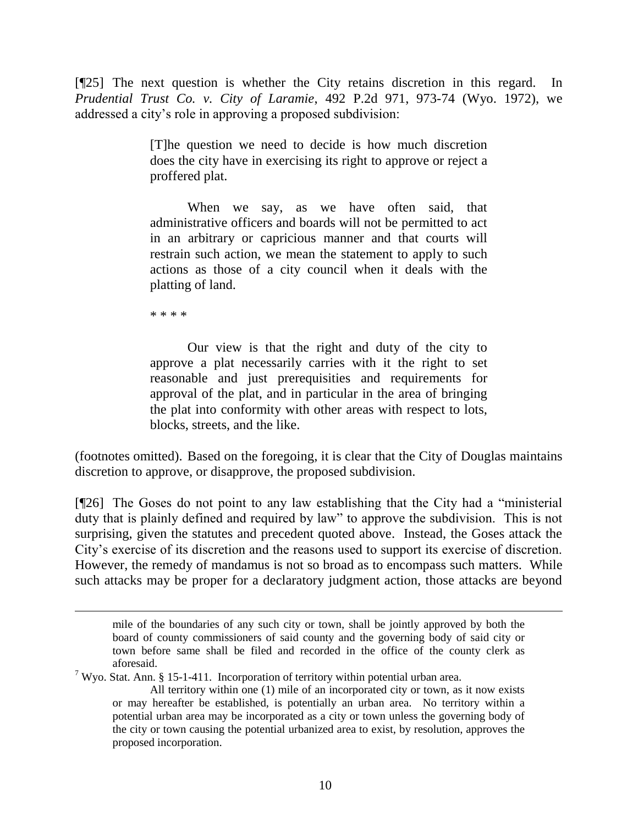[¶25] The next question is whether the City retains discretion in this regard. In *Prudential Trust Co. v. City of Laramie*, 492 P.2d 971, 973-74 (Wyo. 1972), we addressed a city"s role in approving a proposed subdivision:

> [T]he question we need to decide is how much discretion does the city have in exercising its right to approve or reject a proffered plat.

> When we say, as we have often said, that administrative officers and boards will not be permitted to act in an arbitrary or capricious manner and that courts will restrain such action, we mean the statement to apply to such actions as those of a city council when it deals with the platting of land.

\* \* \* \*

 $\overline{a}$ 

Our view is that the right and duty of the city to approve a plat necessarily carries with it the right to set reasonable and just prerequisities and requirements for approval of the plat, and in particular in the area of bringing the plat into conformity with other areas with respect to lots, blocks, streets, and the like.

(footnotes omitted). Based on the foregoing, it is clear that the City of Douglas maintains discretion to approve, or disapprove, the proposed subdivision.

[¶26] The Goses do not point to any law establishing that the City had a "ministerial duty that is plainly defined and required by law" to approve the subdivision. This is not surprising, given the statutes and precedent quoted above. Instead, the Goses attack the City"s exercise of its discretion and the reasons used to support its exercise of discretion. However, the remedy of mandamus is not so broad as to encompass such matters. While such attacks may be proper for a declaratory judgment action, those attacks are beyond

<sup>7</sup> Wyo. Stat. Ann. § 15-1-411. Incorporation of territory within potential urban area.

mile of the boundaries of any such city or town, shall be jointly approved by both the board of county commissioners of said county and the governing body of said city or town before same shall be filed and recorded in the office of the county clerk as aforesaid.

All territory within one (1) mile of an incorporated city or town, as it now exists or may hereafter be established, is potentially an urban area. No territory within a potential urban area may be incorporated as a city or town unless the governing body of the city or town causing the potential urbanized area to exist, by resolution, approves the proposed incorporation.